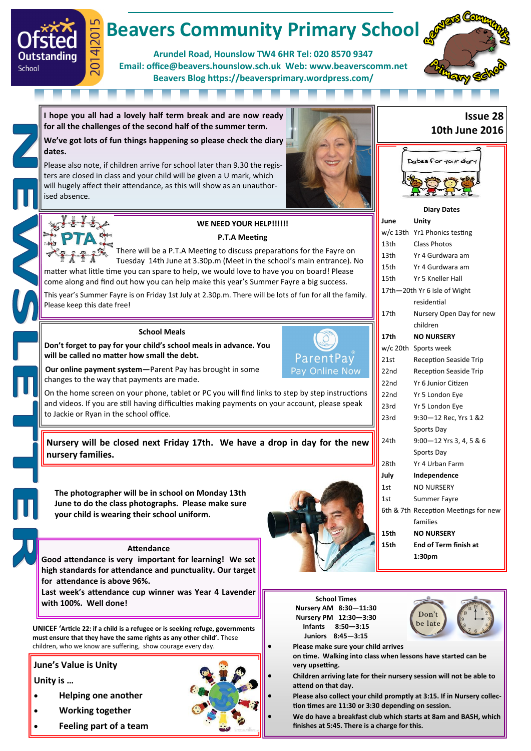# **Beavers Community Primary School**

**Arundel Road, Hounslow TW4 6HR Tel: 020 8570 9347 Email: office@beavers.hounslow.sch.uk Web: www.beaverscomm.net Beavers Blog https://beaversprimary.wordpress.com/**



**I hope you all had a lovely half term break and are now ready for all the challenges of the second half of the summer term.**

**We've got lots of fun things happening so please check the diary dates.**

Please also note, if children arrive for school later than 9.30 the registers are closed in class and your child will be given a U mark, which will hugely affect their attendance, as this will show as an unauthorised absence.



 $\overline{4}$ 

Outstanding

School

## WE NEED YOUR HELP!!!!!!

#### **P.T.A Meeting**

There will be a P.T.A Meeting to discuss preparations for the Fayre on Tuesday 14th June at 3.30p.m (Meet in the school's main entrance). No matter what little time you can spare to help, we would love to have you on board! Please come along and find out how you can help make this year's Summer Fayre a big success.

This year's Summer Fayre is on Friday 1st July at 2.30p.m. There will be lots of fun for all the family. Please keep this date free!

#### **School Meals**

**Don't forget to pay for your child's school meals in advance. You will be called no matter how small the debt.**



**Our online payment system—**Parent Pay has brought in some changes to the way that payments are made.

On the home screen on your phone, tablet or PC you will find links to step by step instructions and videos. If you are still having difficulties making payments on your account, please speak to Jackie or Ryan in the school office.

**Nursery will be closed next Friday 17th. We have a drop in day for the new nursery families.**

**The photographer will be in school on Monday 13th June to do the class photographs. Please make sure your child is wearing their school uniform.**

#### **Attendance**

**Good attendance is very important for learning! We set high standards for attendance and punctuality. Our target for attendance is above 96%.** 

**Last week's attendance cup winner was Year 4 Lavender with 100%. Well done!**

**UNICEF 'Article 22: if a child is a refugee or is seeking refuge, governments must ensure that they have the same rights as any other child'.** These children, who we know are suffering, show courage every day.

#### **June's Value is Unity**

#### **Unity is …**

- **Helping one another**
- **Working together**
- **Feeling part of a team**







**Please make sure your child arrives** 

**School Times Nursery AM 8:30—11:30 Nursery PM 12:30—3:30 Infants 8:50—3:15 Juniors 8:45—3:15**

**on time. Walking into class when lessons have started can be very upsetting.**

 **Children arriving late for their nursery session will not be able to attend on that day.**

 **Please also collect your child promptly at 3:15. If in Nursery collection times are 11:30 or 3:30 depending on session.**

 **We do have a breakfast club which starts at 8am and BASH, which finishes at 5:45. There is a charge for this.**

### **Issue 28 10th June 2016**



**Diary Dates**

| June             | Unity                                |
|------------------|--------------------------------------|
|                  | w/c 13th Yr1 Phonics testing         |
| 13th             | Class Photos                         |
| 13th             | Yr 4 Gurdwara am                     |
| 15th             | Yr 4 Gurdwara am                     |
| 15th             | Yr 5 Kneller Hall                    |
|                  | 17th-20th Yr 6 Isle of Wight         |
|                  | residential                          |
| 17th             | Nursery Open Day for new             |
|                  | children                             |
| 17th             | <b>NO NURSERY</b>                    |
|                  | w/c 20th Sports week                 |
| 21st             | <b>Reception Seaside Trip</b>        |
| 22nd             | <b>Reception Seaside Trip</b>        |
| 22 <sub>nd</sub> | Yr 6 Junior Citizen                  |
| 22nd             | Yr 5 London Eye                      |
| 23rd             | Yr 5 London Eye                      |
| 23rd             | 9:30-12 Rec, Yrs 1 &2                |
|                  | Sports Day                           |
| 24th             | 9:00-12 Yrs 3, 4, 5 & 6              |
|                  | Sports Day                           |
| 28th             | Yr 4 Urban Farm                      |
| July             | Independence                         |
| 1st              | <b>NO NURSERY</b>                    |
| 1st              | Summer Fayre                         |
|                  | 6th & 7th Reception Meetings for new |
|                  | families                             |
| 15th             | <b>NO NURSERY</b>                    |
| 15th             | End of Term finish at                |
|                  | 1:30pm                               |